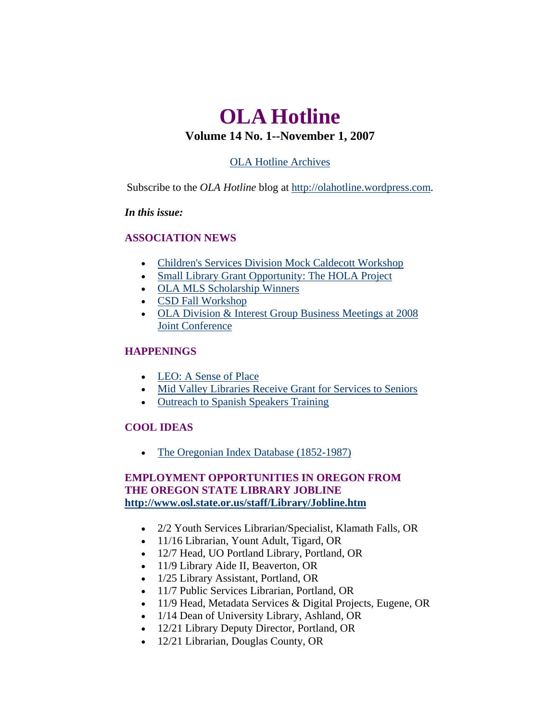# <span id="page-0-0"></span>**OLA Hotline Volume 14 No. 1--November 1, 2007**

## [OLA Hotline Archives](http://olaweb.org/hotline/index.shtml)

Subscribe to the *OLA Hotline* blog at [http://olahotline.wordpress.com.](http://olahotline.wordpress.com/)

#### *In this issue:*

## **ASSOCIATION NEWS**

- [Children's Services Division Mock Caldecott Workshop](#page-1-0)
- [Small Library Grant Opportunity: The HOLA Project](#page-1-0)
- [OLA MLS Scholarship Winners](#page-2-0)
- [CSD Fall Workshop](#page-3-0)
- [OLA Division & Interest Group Business Meetings at 2008](#page-4-0)  [Joint Conference](#page-4-0)

## **HAPPENINGS**

- [LEO: A Sense of Place](#page-5-0)
- [Mid Valley Libraries Receive Grant for Services to Seniors](#page-5-0)
- [Outreach to Spanish Speakers Training](#page-6-0)

## **COOL IDEAS**

• [The Oregonian Index Database \(1852-1987\)](#page-0-0)

## **EMPLOYMENT OPPORTUNITIES IN ORE[G](http://www.osl.state.or.us/staff/Library/Jobline.htm)ON FROM THE OREGON STATE LIBRARY JOBLINE <http://www.osl.state.or.us/staff/Library/Jobline.htm>**

- 2/2 Youth Services Librarian/Specialist, Klamath Falls, OR
- 11/16 Librarian, Yount Adult, Tigard, OR
- 12/7 Head, UO Portland Library, Portland, OR
- 11/9 Library Aide II, Beaverton, OR
- 1/25 Library Assistant, Portland, OR
- 11/7 Public Services Librarian, Portland, OR
- 11/9 Head, Metadata Services & Digital Projects, Eugene, OR
- 1/14 Dean of University Library, Ashland, OR
- 12/21 Library Deputy Director, Portland, OR
- 12/21 Librarian, Douglas County, OR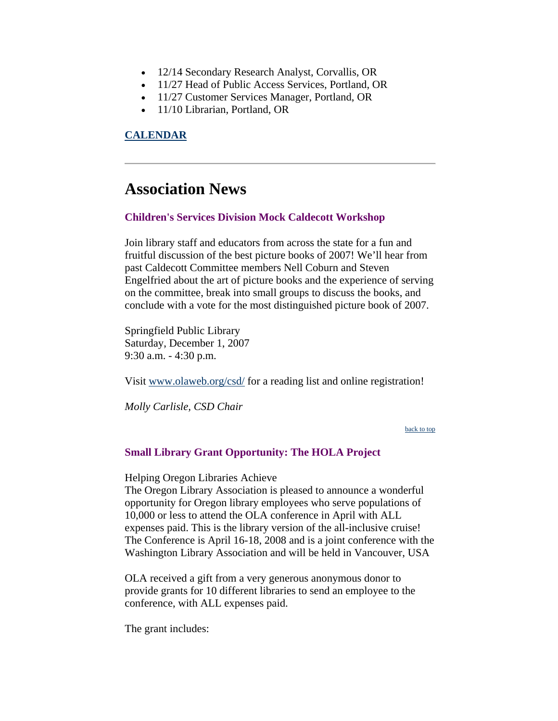- <span id="page-1-0"></span>• 12/14 Secondary Research Analyst, Corvallis, OR
- 11/27 Head of Public Access Services, Portland, OR
- 11/27 Customer Services Manager, Portland, OR
- 11/10 Librarian, Portland, OR

#### **[CALENDAR](http://web.memberclicks.com/mc/community/vieweventcalendar.do?orgId=ola)**

## **Association News**

#### **Children's Services Division Mock Caldecott Workshop**

Join library staff and educators from across the state for a fun and fruitful discussion of the best picture books of 2007! We'll hear from past Caldecott Committee members Nell Coburn and Steven Engelfried about the art of picture books and the experience of serving on the committee, break into small groups to discuss the books, and conclude with a vote for the most distinguished picture book of 2007.

Springfield Public Library Saturday, December 1, 2007 9:30 a.m. - 4:30 p.m.

Visit [www.olaweb.org/csd/](http://www.olaweb.org/csd/) for a reading list and online registration!

*Molly Carlisle, CSD Chair*

[back to top](#page-0-0)

#### **Small Library Grant Opportunity: The HOLA Project**

Helping Oregon Libraries Achieve

The Oregon Library Association is pleased to announce a wonderful opportunity for Oregon library employees who serve populations of 10,000 or less to attend the OLA conference in April with ALL expenses paid. This is the library version of the all-inclusive cruise! The Conference is April 16-18, 2008 and is a joint conference with the Washington Library Association and will be held in Vancouver, USA

OLA received a gift from a very generous anonymous donor to provide grants for 10 different libraries to send an employee to the conference, with ALL expenses paid.

The grant includes: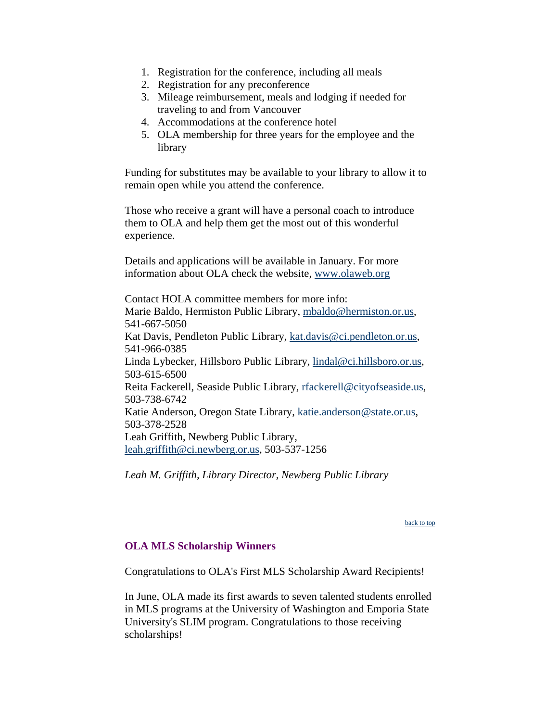- <span id="page-2-0"></span>1. Registration for the conference, including all meals
- 2. Registration for any preconference
- 3. Mileage reimbursement, meals and lodging if needed for traveling to and from Vancouver
- 4. Accommodations at the conference hotel
- 5. OLA membership for three years for the employee and the library

Funding for substitutes may be available to your library to allow it to remain open while you attend the conference.

Those who receive a grant will have a personal coach to introduce them to OLA and help them get the most out of this wonderful experience.

Details and applications will be available in January. For more information about OLA check the website, [www.olaweb.org](http://www.olaweb.org/)

Contact HOLA committee members for more info: Marie Baldo, Hermiston Public Library, [mbaldo@hermiston.or.us](mailto:mbaldo@hermiston.or.us), 541-667-5050 Kat Davis, Pendleton Public Library, [kat.davis@ci.pendleton.or.us,](mailto:kat.davis@ci.pendleton.or.us) 541-966-0385 Linda Lybecker, Hillsboro Public Library, [lindal@ci.hillsboro.or.us,](mailto:lindal@ci.hillsboro.or.us) 503-615-6500 Reita Fackerell, Seaside Public Library, [rfackerell@cityofseaside.us,](mailto:rfackerell@cityofseaside.us) 503-738-6742 Katie Anderson, Oregon State Library, [katie.anderson@state.or.us,](mailto:katie.anderson@state.or.us) 503-378-2528 Leah Griffith, Newberg Public Library, [leah.griffith@ci.newberg.or.us,](mailto:leah.griffith@ci.newberg.or.us) 503-537-1256

*Leah M. Griffith, Library Director, Newberg Public Library*

[back to top](#page-0-0)

#### **OLA MLS Scholarship Winners**

Congratulations to OLA's First MLS Scholarship Award Recipients!

In June, OLA made its first awards to seven talented students enrolled in MLS programs at the University of Washington and Emporia State University's SLIM program. Congratulations to those receiving scholarships!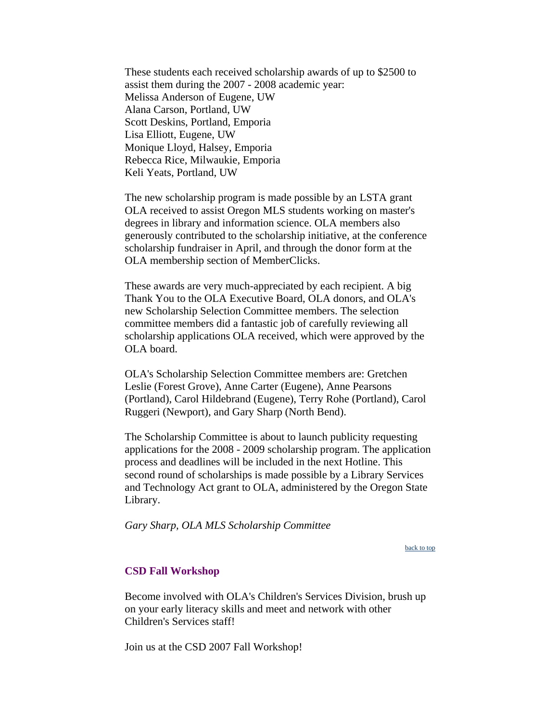<span id="page-3-0"></span>These students each received scholarship awards of up to \$2500 to assist them during the 2007 - 2008 academic year: Melissa Anderson of Eugene, UW Alana Carson, Portland, UW Scott Deskins, Portland, Emporia Lisa Elliott, Eugene, UW Monique Lloyd, Halsey, Emporia Rebecca Rice, Milwaukie, Emporia Keli Yeats, Portland, UW

The new scholarship program is made possible by an LSTA grant OLA received to assist Oregon MLS students working on master's degrees in library and information science. OLA members also generously contributed to the scholarship initiative, at the conference scholarship fundraiser in April, and through the donor form at the OLA membership section of MemberClicks.

These awards are very much-appreciated by each recipient. A big Thank You to the OLA Executive Board, OLA donors, and OLA's new Scholarship Selection Committee members. The selection committee members did a fantastic job of carefully reviewing all scholarship applications OLA received, which were approved by the OLA board.

OLA's Scholarship Selection Committee members are: Gretchen Leslie (Forest Grove), Anne Carter (Eugene), Anne Pearsons (Portland), Carol Hildebrand (Eugene), Terry Rohe (Portland), Carol Ruggeri (Newport), and Gary Sharp (North Bend).

The Scholarship Committee is about to launch publicity requesting applications for the 2008 - 2009 scholarship program. The application process and deadlines will be included in the next Hotline. This second round of scholarships is made possible by a Library Services and Technology Act grant to OLA, administered by the Oregon State Library.

*Gary Sharp, OLA MLS Scholarship Committee*

[back to top](#page-0-0)

#### **CSD Fall Workshop**

Become involved with OLA's Children's Services Division, brush up on your early literacy skills and meet and network with other Children's Services staff!

Join us at the CSD 2007 Fall Workshop!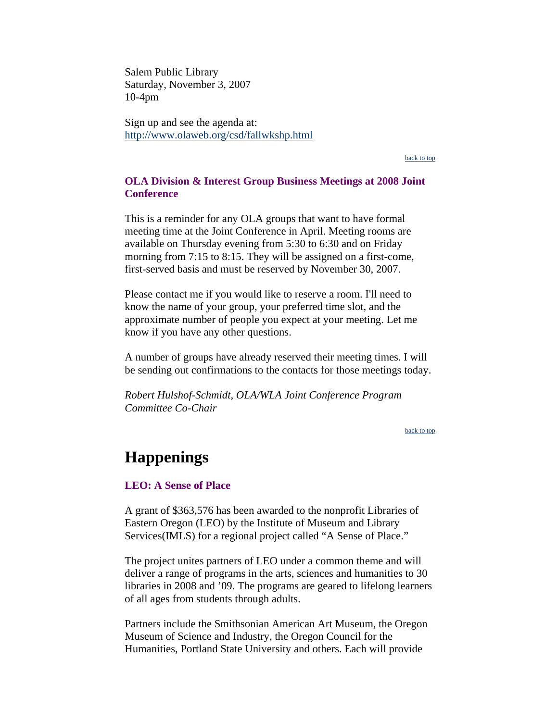<span id="page-4-0"></span>Salem Public Library Saturday, November 3, 2007 10-4pm

Sign up and see the agenda at: <http://www.olaweb.org/csd/fallwkshp.html>

[back to top](#page-0-0)

#### **OLA Division & Interest Group Business Meetings at 2008 Joint Conference**

This is a reminder for any OLA groups that want to have formal meeting time at the Joint Conference in April. Meeting rooms are available on Thursday evening from 5:30 to 6:30 and on Friday morning from 7:15 to 8:15. They will be assigned on a first-come, first-served basis and must be reserved by November 30, 2007.

Please contact me if you would like to reserve a room. I'll need to know the name of your group, your preferred time slot, and the approximate number of people you expect at your meeting. Let me know if you have any other questions.

A number of groups have already reserved their meeting times. I will be sending out confirmations to the contacts for those meetings today.

*Robert Hulshof-Schmidt, OLA/WLA Joint Conference Program Committee Co-Chair*

[back to top](#page-0-0)

# **Happenings**

#### **LEO: A Sense of Place**

A grant of \$363,576 has been awarded to the nonprofit Libraries of Eastern Oregon (LEO) by the Institute of Museum and Library Services(IMLS) for a regional project called "A Sense of Place."

The project unites partners of LEO under a common theme and will deliver a range of programs in the arts, sciences and humanities to 30 libraries in 2008 and '09. The programs are geared to lifelong learners of all ages from students through adults.

Partners include the Smithsonian American Art Museum, the Oregon Museum of Science and Industry, the Oregon Council for the Humanities, Portland State University and others. Each will provide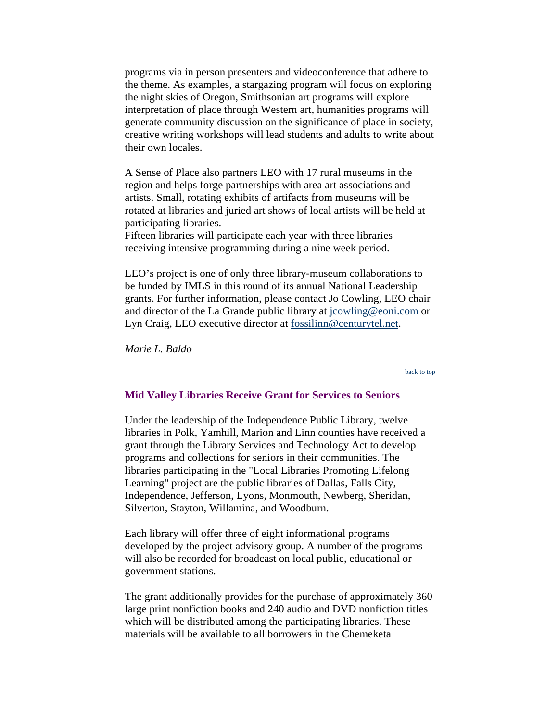<span id="page-5-0"></span>programs via in person presenters and videoconference that adhere to the theme. As examples, a stargazing program will focus on exploring the night skies of Oregon, Smithsonian art programs will explore interpretation of place through Western art, humanities programs will generate community discussion on the significance of place in society, creative writing workshops will lead students and adults to write about their own locales.

A Sense of Place also partners LEO with 17 rural museums in the region and helps forge partnerships with area art associations and artists. Small, rotating exhibits of artifacts from museums will be rotated at libraries and juried art shows of local artists will be held at participating libraries.

Fifteen libraries will participate each year with three libraries receiving intensive programming during a nine week period.

LEO's project is one of only three library-museum collaborations to be funded by IMLS in this round of its annual National Leadership grants. For further information, please contact Jo Cowling, LEO chair and director of the La Grande public library at [jcowling@eoni.com](mailto:jcowling@eoni.com) or Lyn Craig, LEO executive director at [fossilinn@centurytel.net](mailto:fossilinn@centurytel.net).

*Marie L. Baldo*

[back to top](#page-0-0)

#### **Mid Valley Libraries Receive Grant for Services to Seniors**

Under the leadership of the Independence Public Library, twelve libraries in Polk, Yamhill, Marion and Linn counties have received a grant through the Library Services and Technology Act to develop programs and collections for seniors in their communities. The libraries participating in the "Local Libraries Promoting Lifelong Learning" project are the public libraries of Dallas, Falls City, Independence, Jefferson, Lyons, Monmouth, Newberg, Sheridan, Silverton, Stayton, Willamina, and Woodburn.

Each library will offer three of eight informational programs developed by the project advisory group. A number of the programs will also be recorded for broadcast on local public, educational or government stations.

The grant additionally provides for the purchase of approximately 360 large print nonfiction books and 240 audio and DVD nonfiction titles which will be distributed among the participating libraries. These materials will be available to all borrowers in the Chemeketa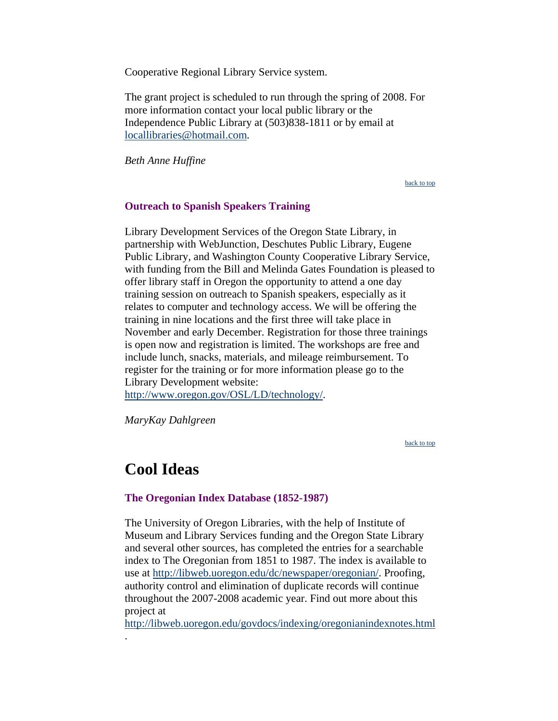<span id="page-6-0"></span>Cooperative Regional Library Service system.

The grant project is scheduled to run through the spring of 2008. For more information contact your local public library or the Independence Public Library at (503)838-1811 or by email at [locallibraries@hotmail.com.](mailto:locallibraries@hotmail.com)

*Beth Anne Huffine*

[back to top](#page-0-0)

#### **Outreach to Spanish Speakers Training**

Library Development Services of the Oregon State Library, in partnership with WebJunction, Deschutes Public Library, Eugene Public Library, and Washington County Cooperative Library Service, with funding from the Bill and Melinda Gates Foundation is pleased to offer library staff in Oregon the opportunity to attend a one day training session on outreach to Spanish speakers, especially as it relates to computer and technology access. We will be offering the training in nine locations and the first three will take place in November and early December. Registration for those three trainings is open now and registration is limited. The workshops are free and include lunch, snacks, materials, and mileage reimbursement. To register for the training or for more information please go to the Library Development website:

<http://www.oregon.gov/OSL/LD/technology/>.

*MaryKay Dahlgreen*

[back to top](#page-0-0)

## **Cool Ideas**

[.](http://libweb.uoregon.edu/govdocs/indexing/oregonianindexnotes.html) 

#### **The Oregonian Index Database (1852-1987)**

The University of Oregon Libraries, with the help of Institute of Museum and Library Services funding and the Oregon State Library and several other sources, has completed the entries for a searchable index to The Oregonian from 1851 to 1987. The index is available to use at [http://libweb.uoregon.edu/dc/newspaper/oregonian/.](http://libweb.uoregon.edu/dc/newspaper/oregonian/) Proofing, authority control and elimination of duplicate records will continue throughout the 2007-2008 academic year. Find out more about this project at

<http://libweb.uoregon.edu/govdocs/indexing/oregonianindexnotes.html>